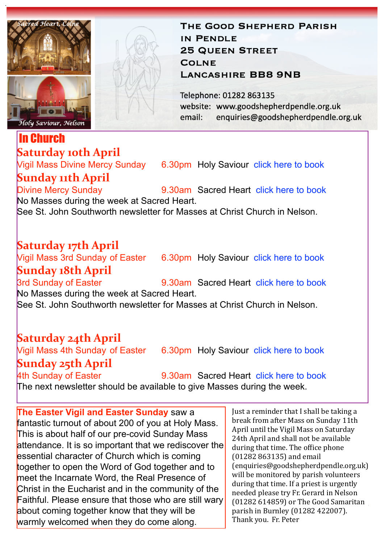

#### In Church **Saturday 10th April**

# **Sunday 11th April**<br>Divine Mercy Sunday

Vigil Mass Divine Mercy Sunday 6.30pm Holy Saviour [click here to book](https://www.eventbrite.co.uk/e/149358857363)

9.30am Sacred Heart [click here to book](https://www.eventbrite.co.uk/e/149357072023) No Masses during the week at Sacred Heart.

See St. John Southworth newsletter for Masses at Christ Church in Nelson.

### **Saturday 17th April**

Vigil Mass 3rd Sunday of Easter 6.30pm Holy Saviour [click here to book](https://www.eventbrite.co.uk/e/150184226063)

**Sunday 18th April**<br>3rd Sunday of Easter 9.30am Sacred Heart [click here to book](https://www.eventbrite.co.uk/e/150184290255) No Masses during the week at Sacred Heart. See St. John Southworth newsletter for Masses at Christ Church in Nelson.

## **Saturday 24th April**

**Sunday 25th April**<br>4th Sunday of Easter

Vigil Mass 4th Sunday of Easter 6.30pm Holy Saviour [click here to book](https://www.eventbrite.co.uk/e/150184996367)

9.30am Sacred Heart [click here to book](https://www.eventbrite.co.uk/e/150185680413) The next newsletter should be available to give Masses during the week.

**The Easter Vigil and Easter Sunday** saw a fantastic turnout of about 200 of you at Holy Mass. This is about half of our pre-covid Sunday Mass attendance. It is so important that we rediscover the essential character of Church which is coming together to open the Word of God together and to meet the Incarnate Word, the Real Presence of Christ in the Eucharist and in the community of the Faithful. Please ensure that those who are still wary about coming together know that they will be warmly welcomed when they do come along.

Just a reminder that I shall be taking a break from after Mass on Sunday 11th April until the Vigil Mass on Saturday 24th April and shall not be available during that time. The office phone (01282 863135) and email (enquiries@goodshepherdpendle.org.uk) will be monitored by parish volunteers during that time. If a priest is urgently needed please try Fr. Gerard in Nelson  $(01282 614859)$  or The Good Samaritan parish in Burnley (01282 422007). Thank you. Fr. Peter

IN PENDLE **25 QUEEN STREET COLNE LANCASHIRE BB8 9NB** Telephone: 01282 863135

website: www.goodshepherdpendle.org.uk email: enquiries@goodshepherdpendle.org.uk

THE GOOD SHEPHERD PARISH